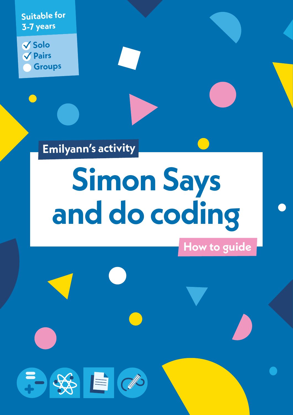**Suitable for 3-7 years**

**Solo Pairs Groups**

**Emilyann's activity**

于好自己

# **Simon Says and do coding**

**How to guide**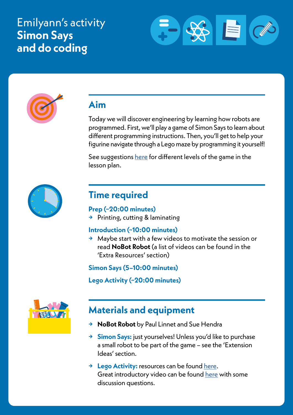# Emilyann's activity **Simon Says and do coding**





# **Aim**

Today we will discover engineering by learning how robots are programmed. First, we'll play a game of Simon Says to learn about different programming instructions. Then, you'll get to help your figurine navigate through a Lego maze by programming it yourself!

See suggestions [here](https://researchparent.com/coding-a-lego-maze/) for different levels of the game in the lesson plan.



## **Time required**

#### **Prep (~20:00 minutes)**

**→** Printing, cutting & laminating

#### **Introduction (~10:00 minutes)**

**→** Maybe start with a few videos to motivate the session or read **NoBot Robot** (a list of videos can be found in the 'Extra Resources' section)

**Simon Says (5–10:00 minutes)**

**Lego Activity (~20:00 minutes)**



## **Materials and equipment**

- **→ NoBot Robot** by Paul Linnet and Sue Hendra
- **→ Simon Says:** just yourselves! Unless you'd like to purchase a small robot to be part of the game – see the 'Extension Ideas' section.
- **→ Lego Activity:** resources can be found [here](https://researchparent.com/coding-a-lego-maze/). Great introductory video can be found [here](https://www.youtube.com/watch?v=c6Znf-M2y1s) with some discussion questions.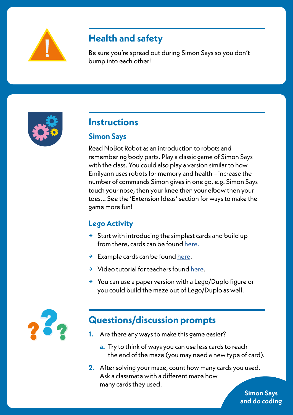

# **Health and safety**

Be sure you're spread out during Simon Says so you don't bump into each other!



## **Instructions**

#### **Simon Says**

Read NoBot Robot as an introduction to robots and remembering body parts. Play a classic game of Simon Says with the class. You could also play a version similar to how Emilyann uses robots for memory and health – increase the number of commands Simon gives in one go, e.g. Simon Says touch your nose, then your knee then your elbow then your toes… See the 'Extension Ideas' section for ways to make the game more fun!

### **Lego Activity**

- **→** Start with introducing the simplest cards and build up from there, cards can be found [here](https://researchparent.com/coding-a-lego-maze/).
- **→** Example cards can be found [here.](https://researchparent.com/wp-content/uploads/Coding_a_LEGO_Maze_ResearchParent.pdf)
- **→** Video tutorial for teachers found [here.](https://www.youtube.com/watch?v=FJ5sT1hTuKI)
- **→** You can use a paper version with a Lego/Duplo figure or you could build the maze out of Lego/Duplo as well.



# **Questions/discussion prompts**

- **1.** Are there any ways to make this game easier?
	- **a.** Try to think of ways you can use less cards to reach the end of the maze (you may need a new type of card).
- **2.** After solving your maze, count how many cards you used. Ask a classmate with a different maze how many cards they used.

**Simon Says and do coding**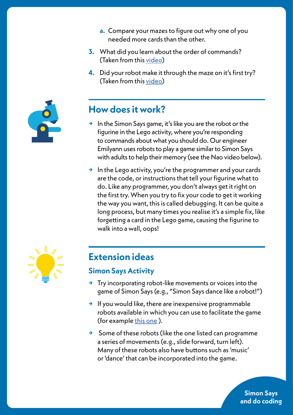- **a.** Compare your mazes to figure out why one of you needed more cards than the other.
- **3.** What did you learn about the order of commands? (Taken from this [video](https://www.youtube.com/watch?v=c6Znf-M2y1s))
- **4.** Did your robot make it through the maze on it's first try? (Taken from this [video](https://www.youtube.com/watch?v=c6Znf-M2y1s))



# **How does it work?**

- **→** In the Simon Says game, it's like you are the robot or the figurine in the Lego activity, where you're responding to commands about what you should do. Our engineer Emilyann uses robots to play a game similar to Simon Says with adults to help their memory (see the Nao video below).
- **→** In the Lego activity, you're the programmer and your cards are the code, or instructions that tell your figurine what to do. Like any programmer, you don't always get it right on the first try. When you try to fix your code to get it working the way you want, this is called debugging. It can be quite a long process, but many times you realise it's a simple fix, like forgetting a card in the Lego game, causing the figurine to walk into a wall, oops!



## **Extension ideas**

#### **Simon Says Activity**

- **→** Try incorporating robot-like movements or voices into the game of Simon Says (e.g., "Simon Says dance like a robot!")
- **→** If you would like, there are inexpensive programmable robots available in which you can use to facilitate the game (for example this one).
- **→** Some of these robots (like the one listed can programme a series of movements (e.g., slide forward, turn left). Many of these robots also have buttons such as 'music' or 'dance' that can be incorporated into the game.

**Simon Says and do coding**